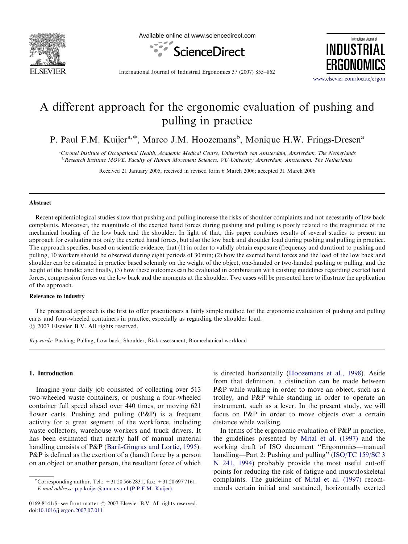

Available online at www.sciencedirect.com





International Journal of Industrial Ergonomics 37 (2007) 855–862

<www.elsevier.com/locate/ergon>

# A different approach for the ergonomic evaluation of pushing and pulling in practice

P. Paul F.M. Kuijer<sup>a,\*</sup>, Marco J.M. Hoozemans<sup>b</sup>, Monique H.W. Frings-Dresen<sup>a</sup>

<sup>a</sup>Coronel Institute of Occupational Health, Academic Medical Centre, Universiteit van Amsterdam, Amsterdam, The Netherlands **bResearch Institute MOVE, Faculty of Human Movement Sciences, VU University Amsterdam, Amsterdam, The Netherlands** 

Received 21 January 2005; received in revised form 6 March 2006; accepted 31 March 2006

#### Abstract

Recent epidemiological studies show that pushing and pulling increase the risks of shoulder complaints and not necessarily of low back complaints. Moreover, the magnitude of the exerted hand forces during pushing and pulling is poorly related to the magnitude of the mechanical loading of the low back and the shoulder. In light of that, this paper combines results of several studies to present an approach for evaluating not only the exerted hand forces, but also the low back and shoulder load during pushing and pulling in practice. The approach specifies, based on scientific evidence, that (1) in order to validly obtain exposure (frequency and duration) to pushing and pulling, 10 workers should be observed during eight periods of 30 min; (2) how the exerted hand forces and the load of the low back and shoulder can be estimated in practice based solemnly on the weight of the object, one-handed or two-handed pushing or pulling, and the height of the handle; and finally, (3) how these outcomes can be evaluated in combination with existing guidelines regarding exerted hand forces, compression forces on the low back and the moments at the shoulder. Two cases will be presented here to illustrate the application of the approach.

### Relevance to industry

The presented approach is the first to offer practitioners a fairly simple method for the ergonomic evaluation of pushing and pulling carts and four-wheeled containers in practice, especially as regarding the shoulder load.  $\odot$  2007 Elsevier B.V. All rights reserved.

Keywords: Pushing; Pulling; Low back; Shoulder; Risk assessment; Biomechanical workload

### 1. Introduction

Imagine your daily job consisted of collecting over 513 two-wheeled waste containers, or pushing a four-wheeled container full speed ahead over 440 times, or moving 621 flower carts. Pushing and pulling (P&P) is a frequent activity for a great segment of the workforce, including waste collectors, warehouse workers and truck drivers. It has been estimated that nearly half of manual material handling consists of P&P ([Baril-Gingras and Lortie, 1995\)](#page--1-0). P&P is defined as the exertion of a (hand) force by a person on an object or another person, the resultant force of which is directed horizontally ([Hoozemans et al., 1998\)](#page--1-0). Aside from that definition, a distinction can be made between P&P while walking in order to move an object, such as a trolley, and P&P while standing in order to operate an instrument, such as a lever. In the present study, we will focus on P&P in order to move objects over a certain distance while walking.

In terms of the ergonomic evaluation of P&P in practice, the guidelines presented by [Mital et al. \(1997\)](#page--1-0) and the working draft of ISO document ''Ergonomics—manual handling—Part 2: Pushing and pulling" ([ISO/TC 159/SC 3](#page--1-0)) [N 241, 1994](#page--1-0)) probably provide the most useful cut-off points for reducing the risk of fatigue and musculoskeletal complaints. The guideline of [Mital et al. \(1997\)](#page--1-0) recommends certain initial and sustained, horizontally exerted

<sup>\*</sup>Corresponding author. Tel.:  $+31205662831$ ; fax:  $+31206977161$ . E-mail address: [p.p.kuijer@amc.uva.nl \(P.P.F.M. Kuijer\).](mailto:p.p.kuijer@amc.uva.nl)

<sup>0169-8141/\$ -</sup> see front matter  $\odot$  2007 Elsevier B.V. All rights reserved. doi:[10.1016/j.ergon.2007.07.011](dx.doi.org/10.1016/j.ergon.2007.07.011)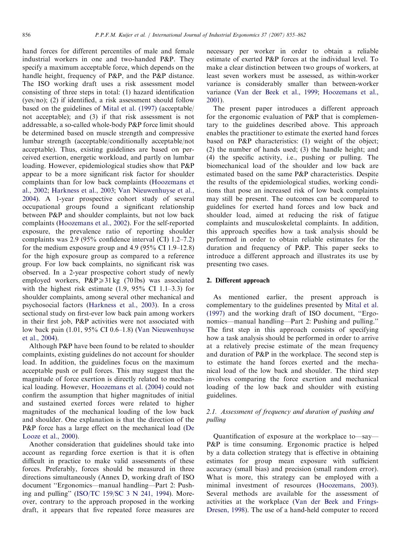hand forces for different percentiles of male and female industrial workers in one and two-handed P&P. They specify a maximum acceptable force, which depends on the handle height, frequency of P&P, and the P&P distance. The ISO working draft uses a risk assessment model consisting of three steps in total: (1) hazard identification (yes/no); (2) if identified, a risk assessment should follow based on the guidelines of [Mital et al. \(1997\)](#page--1-0) (acceptable/ not acceptable); and (3) if that risk assessment is not addressable, a so-called whole-body P&P force limit should be determined based on muscle strength and compressive lumbar strength (acceptable/conditionally acceptable/not acceptable). Thus, existing guidelines are based on perceived exertion, energetic workload, and partly on lumbar loading. However, epidemiological studies show that P&P appear to be a more significant risk factor for shoulder complaints than for low back complaints [\(Hoozemans et](#page--1-0) [al., 2002](#page--1-0); [Harkness et al., 2003;](#page--1-0) [Van Nieuwenhuyse et al.,](#page--1-0) [2004\)](#page--1-0). A 1-year prospective cohort study of several occupational groups found a significant relationship between P&P and shoulder complaints, but not low back complaints ([Hoozemans et al., 2002\)](#page--1-0). For the self-reported exposure, the prevalence ratio of reporting shoulder complaints was 2.9 (95% confidence interval (CI) 1.2–7.2) for the medium exposure group and 4.9 (95% CI 1.9–12.8) for the high exposure group as compared to a reference group. For low back complaints, no significant risk was observed. In a 2-year prospective cohort study of newly employed workers,  $P\&P \geq 31 \text{ kg}$  (70 lbs) was associated with the highest risk estimate  $(1.9, 95\% \text{ CI } 1.1-3.3)$  for shoulder complaints, among several other mechanical and psychosocial factors ([Harkness et al., 2003](#page--1-0)). In a cross sectional study on first-ever low back pain among workers in their first job, P&P activities were not associated with low back pain (1.01, 95% CI 0.6–1.8) ([Van Nieuwenhuyse](#page--1-0) [et al., 2004](#page--1-0)).

Although P&P have been found to be related to shoulder complaints, existing guidelines do not account for shoulder load. In addition, the guidelines focus on the maximum acceptable push or pull forces. This may suggest that the magnitude of force exertion is directly related to mechanical loading. However, [Hoozemans et al. \(2004\)](#page--1-0) could not confirm the assumption that higher magnitudes of initial and sustained exerted forces were related to higher magnitudes of the mechanical loading of the low back and shoulder. One explanation is that the direction of the P&P force has a large effect on the mechanical load [\(De](#page--1-0) [Looze et al., 2000\)](#page--1-0).

Another consideration that guidelines should take into account as regarding force exertion is that it is often difficult in practice to make valid assessments of these forces. Preferably, forces should be measured in three directions simultaneously (Annex D, working draft of ISO document ''Ergonomics—manual handling—Part 2: Pushing and pulling'' ([ISO/TC 159/SC 3 N 241, 1994](#page--1-0)). Moreover, contrary to the approach proposed in the working draft, it appears that five repeated force measures are necessary per worker in order to obtain a reliable estimate of exerted P&P forces at the individual level. To make a clear distinction between two groups of workers, at least seven workers must be assessed, as within-worker variance is considerably smaller than between-worker variance ([Van der Beek et al., 1999;](#page--1-0) [Hoozemans et al.,](#page--1-0) [2001](#page--1-0)).

The present paper introduces a different approach for the ergonomic evaluation of P&P that is complementary to the guidelines described above. This approach enables the practitioner to estimate the exerted hand forces based on P&P characteristics: (1) weight of the object; (2) the number of hands used; (3) the handle height; and (4) the specific activity, i.e., pushing or pulling. The biomechanical load of the shoulder and low back are estimated based on the same P&P characteristics. Despite the results of the epidemiological studies, working conditions that pose an increased risk of low back complaints may still be present. The outcomes can be compared to guidelines for exerted hand forces and low back and shoulder load, aimed at reducing the risk of fatigue complaints and musculoskeletal complaints. In addition, this approach specifies how a task analysis should be performed in order to obtain reliable estimates for the duration and frequency of P&P. This paper seeks to introduce a different approach and illustrates its use by presenting two cases.

### 2. Different approach

As mentioned earlier, the present approach is complementary to the guidelines presented by [Mital et al.](#page--1-0) [\(1997\)](#page--1-0) and the working draft of ISO document, ''Ergonomics—manual handling—Part 2: Pushing and pulling.'' The first step in this approach consists of specifying how a task analysis should be performed in order to arrive at a relatively precise estimate of the mean frequency and duration of P&P in the workplace. The second step is to estimate the hand forces exerted and the mechanical load of the low back and shoulder. The third step involves comparing the force exertion and mechanical loading of the low back and shoulder with existing guidelines.

## 2.1. Assessment of frequency and duration of pushing and pulling

Quantification of exposure at the workplace to—say— P&P is time consuming. Ergonomic practice is helped by a data collection strategy that is effective in obtaining estimates for group mean exposure with sufficient accuracy (small bias) and precision (small random error). What is more, this strategy can be employed with a minimal investment of resources ([Hoozemans, 2003\)](#page--1-0). Several methods are available for the assessment of activities at the workplace ([Van der Beek and Frings-](#page--1-0)[Dresen, 1998\)](#page--1-0). The use of a hand-held computer to record